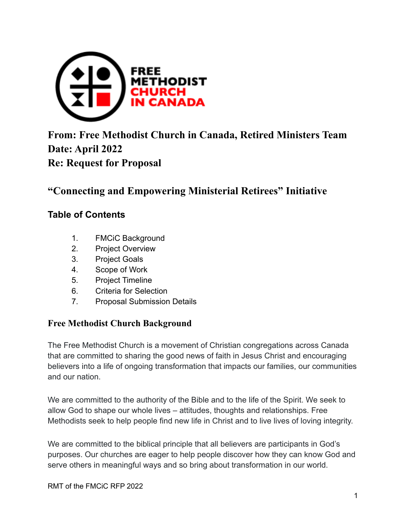

# **From: Free Methodist Church in Canada, Retired Ministers Team Date: April 2022 Re: Request for Proposal**

## **"Connecting and Empowering Ministerial Retirees" Initiative**

#### **Table of Contents**

- 1. FMCiC Background
- 2. Project Overview
- 3. Project Goals
- 4. Scope of Work
- 5. Project Timeline
- 6. Criteria for Selection
- 7. Proposal Submission Details

#### **Free Methodist Church Background**

The Free Methodist Church is a movement of Christian congregations across Canada that are committed to sharing the good news of faith in Jesus Christ and encouraging believers into a life of ongoing transformation that impacts our families, our communities and our nation.

We are committed to the authority of the Bible and to the life of the Spirit. We seek to allow God to shape our whole lives – attitudes, thoughts and relationships. Free Methodists seek to help people find new life in Christ and to live lives of loving integrity.

We are committed to the biblical principle that all believers are participants in God's purposes. Our churches are eager to help people discover how they can know God and serve others in meaningful ways and so bring about transformation in our world.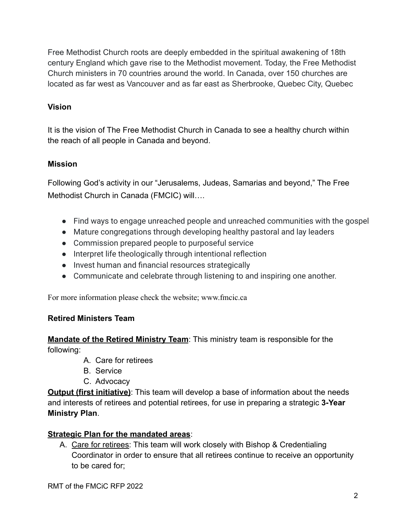Free Methodist Church roots are deeply embedded in the spiritual awakening of 18th century England which gave rise to the Methodist movement. Today, the Free Methodist Church ministers in 70 countries around the world. In Canada, over 150 churches are located as far west as Vancouver and as far east as Sherbrooke, Quebec City, Quebec

#### **Vision**

It is the vision of The Free Methodist Church in Canada to see a healthy church within the reach of all people in Canada and beyond.

#### **Mission**

Following God's activity in our "Jerusalems, Judeas, Samarias and beyond," The Free Methodist Church in Canada (FMCIC) will….

- Find ways to engage unreached people and unreached communities with the gospel
- Mature congregations through developing healthy pastoral and lay leaders
- Commission prepared people to purposeful service
- Interpret life theologically through intentional reflection
- Invest human and financial resources strategically
- Communicate and celebrate through listening to and inspiring one another.

For more information please check the website; www.fmcic.ca

#### **Retired Ministers Team**

**Mandate of the Retired Ministry Team**: This ministry team is responsible for the following:

- A. Care for retirees
- B. Service
- C. Advocacy

**Output (first initiative)**: This team will develop a base of information about the needs and interests of retirees and potential retirees, for use in preparing a strategic **3-Year Ministry Plan**.

#### **Strategic Plan for the mandated areas**:

A. Care for retirees: This team will work closely with Bishop & Credentialing Coordinator in order to ensure that all retirees continue to receive an opportunity to be cared for;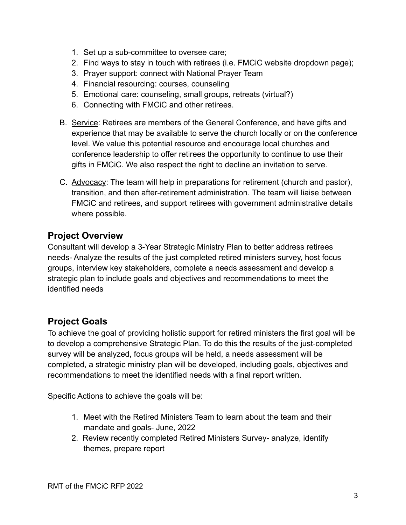- 1. Set up a sub-committee to oversee care;
- 2. Find ways to stay in touch with retirees (i.e. FMCiC website dropdown page);
- 3. Prayer support: connect with National Prayer Team
- 4. Financial resourcing: courses, counseling
- 5. Emotional care: counseling, small groups, retreats (virtual?)
- 6. Connecting with FMCiC and other retirees.
- B. Service: Retirees are members of the General Conference, and have gifts and experience that may be available to serve the church locally or on the conference level. We value this potential resource and encourage local churches and conference leadership to offer retirees the opportunity to continue to use their gifts in FMCiC. We also respect the right to decline an invitation to serve.
- C. Advocacy: The team will help in preparations for retirement (church and pastor), transition, and then after-retirement administration. The team will liaise between FMCiC and retirees, and support retirees with government administrative details where possible.

### **Project Overview**

Consultant will develop a 3-Year Strategic Ministry Plan to better address retirees needs- Analyze the results of the just completed retired ministers survey, host focus groups, interview key stakeholders, complete a needs assessment and develop a strategic plan to include goals and objectives and recommendations to meet the identified needs

### **Project Goals**

To achieve the goal of providing holistic support for retired ministers the first goal will be to develop a comprehensive Strategic Plan. To do this the results of the just-completed survey will be analyzed, focus groups will be held, a needs assessment will be completed, a strategic ministry plan will be developed, including goals, objectives and recommendations to meet the identified needs with a final report written.

Specific Actions to achieve the goals will be:

- 1. Meet with the Retired Ministers Team to learn about the team and their mandate and goals- June, 2022
- 2. Review recently completed Retired Ministers Survey- analyze, identify themes, prepare report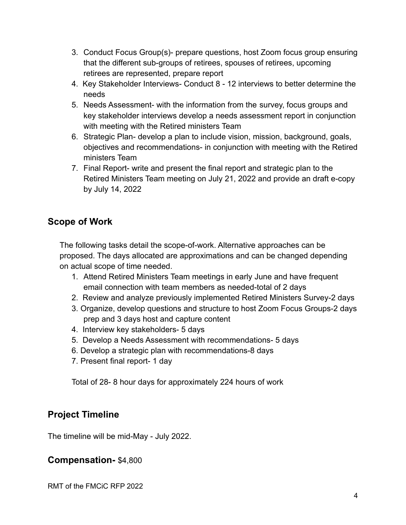- 3. Conduct Focus Group(s)- prepare questions, host Zoom focus group ensuring that the different sub-groups of retirees, spouses of retirees, upcoming retirees are represented, prepare report
- 4. Key Stakeholder Interviews- Conduct 8 12 interviews to better determine the needs
- 5. Needs Assessment- with the information from the survey, focus groups and key stakeholder interviews develop a needs assessment report in conjunction with meeting with the Retired ministers Team
- 6. Strategic Plan- develop a plan to include vision, mission, background, goals, objectives and recommendations- in conjunction with meeting with the Retired ministers Team
- 7. Final Report- write and present the final report and strategic plan to the Retired Ministers Team meeting on July 21, 2022 and provide an draft e-copy by July 14, 2022

### **Scope of Work**

The following tasks detail the scope-of-work. Alternative approaches can be proposed. The days allocated are approximations and can be changed depending on actual scope of time needed.

- 1. Attend Retired Ministers Team meetings in early June and have frequent email connection with team members as needed-total of 2 days
- 2. Review and analyze previously implemented Retired Ministers Survey-2 days
- 3. Organize, develop questions and structure to host Zoom Focus Groups-2 days prep and 3 days host and capture content
- 4. Interview key stakeholders- 5 days
- 5. Develop a Needs Assessment with recommendations- 5 days
- 6. Develop a strategic plan with recommendations-8 days
- 7. Present final report- 1 day

Total of 28- 8 hour days for approximately 224 hours of work

### **Project Timeline**

The timeline will be mid-May - July 2022.

#### **Compensation-** \$4,800

RMT of the FMCiC RFP 2022